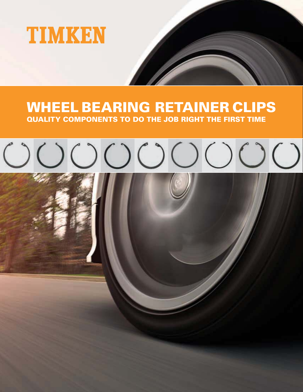

## WHEEL BEARING RETAINER CLIPS QUALITY COMPONENTS TO DO THE JOB RIGHT THE FIRST TIME

# $\begin{array}{c} \multicolumn{3}{c}{} & \multicolumn{3}{c}{} & \multicolumn{3}{c}{} & \multicolumn{3}{c}{} & \multicolumn{3}{c}{} & \multicolumn{3}{c}{} & \multicolumn{3}{c}{} & \multicolumn{3}{c}{} & \multicolumn{3}{c}{} & \multicolumn{3}{c}{} & \multicolumn{3}{c}{} & \multicolumn{3}{c}{} & \multicolumn{3}{c}{} & \multicolumn{3}{c}{} & \multicolumn{3}{c}{} & \multicolumn{3}{c}{} & \multicolumn{3}{c}{} & \multicolumn{3}{c}{} & \multicolumn{3}{c}{} & \multicolumn$

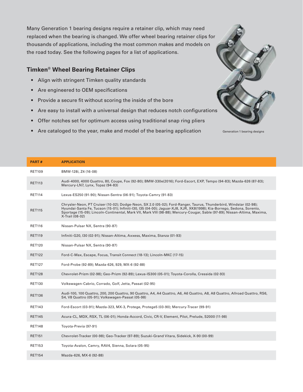Many Generation 1 bearing designs require a retainer clip, which may need replaced when the bearing is changed. We offer wheel bearing retainer clips fo thousands of applications, including the most common makes and models on the road today. See the following pages for a list of applications.

#### **Timken® Wheel Bearing Retainer Clips**

- Align with stringent Timken quality standards
- Are engineered to OEM specifications
- Provide a secure fit without scoring the inside of the bore
- Are easy to install with a universal design that reduces notch configuratio
- Offer notches set for optimum access using traditional snap ring pliers
- Are cataloged to the year, make and model of the bearing application Generation 1 bearing designs

| ,<br> |  |
|-------|--|
|       |  |
| ns    |  |

| <b>PART#</b>  | <b>APPLICATION</b>                                                                                                                                                                                                                                                                                                                                                                           |
|---------------|----------------------------------------------------------------------------------------------------------------------------------------------------------------------------------------------------------------------------------------------------------------------------------------------------------------------------------------------------------------------------------------------|
| <b>RET109</b> | BMW-128i, Z4 (16-08)                                                                                                                                                                                                                                                                                                                                                                         |
| <b>RET113</b> | Audi-4000, 4000 Quattro, 80, Coupe, Fox (92-80); BMW-330e(2016); Ford-Escort, EXP, Tempo (94-83); Mazda-626 (87-83);<br>Mercury-LN7, Lynx, Topaz (94-83)                                                                                                                                                                                                                                     |
| <b>RET114</b> | Lexus-ES250 (91-90); Nissan-Sentra (06-91); Toyota-Camry (91-83)                                                                                                                                                                                                                                                                                                                             |
| <b>RET115</b> | Chrysler-Neon, PT Cruiser (10-02); Dodge-Neon, SX 2.0 (05-02); Ford-Ranger, Taurus, Thunderbird, Windstar (02-98);<br>Hyundai-Santa Fe, Tucson (15-01); Infiniti-I30, I35 (04-00); Jaguar-XJ8, XJR, XK8(1998); Kia-Borrego, Sedona, Sorento,<br>Sportage (15-09); Lincoln-Continental, Mark VII, Mark VIII (98-88); Mercury-Cougar, Sable (97-89); Nissan-Altima, Maxima,<br>X-Trail (08-02) |
| <b>RET116</b> | Nissan-Pulsar NX, Sentra (90-87)                                                                                                                                                                                                                                                                                                                                                             |
| <b>RET119</b> | Infiniti-G20, I30 (02-91); Nissan-Altima, Axxess, Maxima, Stanza (01-93)                                                                                                                                                                                                                                                                                                                     |
| <b>RET120</b> | Nissan-Pulsar NX, Sentra (90-87)                                                                                                                                                                                                                                                                                                                                                             |
| <b>RET122</b> | Ford-C-Max, Escape, Focus, Transit Connect (18-13); Lincoln-MKC (17-15)                                                                                                                                                                                                                                                                                                                      |
| <b>RET127</b> | Ford-Probe (92-89); Mazda-626, 929, MX-6 (92-88)                                                                                                                                                                                                                                                                                                                                             |
| <b>RET128</b> | Chevrolet-Prizm (02-98); Geo-Prizm (92-89); Lexus-IS300 (05-01); Toyota-Corolla, Cressida (02-93)                                                                                                                                                                                                                                                                                            |
| <b>RET130</b> | Volkswagen-Cabrio, Corrado, Golf, Jetta, Passat (02-95)                                                                                                                                                                                                                                                                                                                                      |
| <b>RET136</b> | Audi-100, 100 Quattro, 200, 200 Quattro, 90 Quattro, A4, A4 Quattro, A6, A6 Quattro, A8, A8 Quattro, Allroad Quattro, RS6,<br>S4, V8 Quattro (05-91); Volkswagen-Passat (05-98)                                                                                                                                                                                                              |
| <b>RET143</b> | Ford-Escort (03-91); Mazda-323, MX-3, Protege, Protege5 (03-90); Mercury-Tracer (99-91)                                                                                                                                                                                                                                                                                                      |
| <b>RET145</b> | Acura-CL, MDX, RSX, TL (06-01); Honda-Accord, Civic, CR-V, Element, Pilot, Prelude, S2000 (11-98)                                                                                                                                                                                                                                                                                            |
| <b>RET148</b> | Toyota-Previa (97-91)                                                                                                                                                                                                                                                                                                                                                                        |
| <b>RET151</b> | Chevrolet-Tracker (00-98); Geo-Tracker (97-89); Suzuki-Grand Vitara, Sidekick, X-90 (00-99)                                                                                                                                                                                                                                                                                                  |
| <b>RET153</b> | Toyota-Avalon, Camry, RAV4, Sienna, Solara (05-95)                                                                                                                                                                                                                                                                                                                                           |
| <b>RET154</b> | Mazda-626, MX-6 (92-88)                                                                                                                                                                                                                                                                                                                                                                      |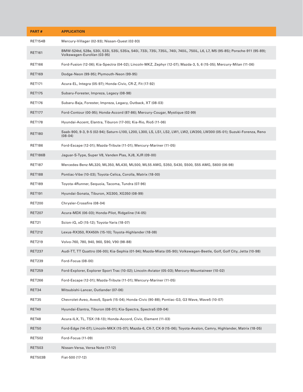| PART#          | <b>APPLICATION</b>                                                                                                                                            |
|----------------|---------------------------------------------------------------------------------------------------------------------------------------------------------------|
| <b>RET154B</b> | Mercury-Villager (02-93); Nissan-Quest (02-93)                                                                                                                |
| <b>RET161</b>  | BMW-524td, 528e, 530i, 533i, 535i, 535is, 540i, 733i, 735i, 735iL, 740i, 740iL, 750iL, L6, L7, M5 (95-85); Porsche-911 (95-89);<br>Volkswagen-EuroVan (03-95) |
| <b>RET166</b>  | Ford-Fusion (12-06); Kia-Spectra (04-02); Lincoln-MKZ, Zephyr (12-07); Mazda-3, 5, 6 (15-05); Mercury-Milan (11-06)                                           |
| <b>RET169</b>  | Dodge-Neon (99-95); Plymouth-Neon (99-95)                                                                                                                     |
| <b>RET171</b>  | Acura-EL, Integra (05-97); Honda-Civic, CR-Z, Fit (17-92)                                                                                                     |
| <b>RET175</b>  | Subaru-Forester, Impreza, Legacy (08-98)                                                                                                                      |
| <b>RET176</b>  | Subaru-Baja, Forester, Impreza, Legacy, Outback, XT (08-03)                                                                                                   |
| <b>RET177</b>  | Ford-Contour (00-95); Honda-Accord (87-86); Mercury-Cougar, Mystique (02-99)                                                                                  |
| <b>RET178</b>  | Hyundai-Accent, Elantra, Tiburon (17-00); Kia-Rio, Rio5 (11-06)                                                                                               |
| <b>RET180</b>  | Saab-900, 9-3, 9-5 (02-94); Saturn-L100, L200, L300, LS, LS1, LS2, LW1, LW2, LW200, LW300 (05-01); Suzuki-Forenza, Reno<br>$(08-04)$                          |
| <b>RET186</b>  | Ford-Escape (12-01); Mazda-Tribute (11-01); Mercury-Mariner (11-05)                                                                                           |
| <b>RET186B</b> | Jaguar-S-Type, Super V8, Vanden Plas, XJ8, XJR (09-00)                                                                                                        |
| <b>RET187</b>  | Mercedes-Benz-ML320, ML350, ML430, ML500, ML55 AMG, S350, S430, S500, S55 AMG, S600 (06-98)                                                                   |
| <b>RET188</b>  | Pontiac-Vibe (10-03); Toyota-Celica, Corolla, Matrix (18-00)                                                                                                  |
| <b>RET189</b>  | Toyota-4Runner, Sequoia, Tacoma, Tundra (07-96)                                                                                                               |
| <b>RET191</b>  | Hyundai-Sonata, Tiburon, XG300, XG350 (08-99)                                                                                                                 |
| <b>RET200</b>  | Chrysler-Crossfire (08-04)                                                                                                                                    |
| <b>RET207</b>  | Acura-MDX (06-03); Honda-Pilot, Ridgeline (14-05)                                                                                                             |
| RET21          | Scion-iQ, xD (15-12); Toyota-Yaris (18-07)                                                                                                                    |
| <b>RET212</b>  | Lexus-RX350, RX450h (15-10); Toyota-Highlander (18-08)                                                                                                        |
| <b>RET219</b>  | Volvo-760, 780, 940, 960, S90, V90 (98-88)                                                                                                                    |
| <b>RET237</b>  | Audi-TT, TT Quattro (06-00); Kia-Sephia (01-94); Mazda-Miata (05-90); Volkswagen-Beetle, Golf, Golf City, Jetta (10-98)                                       |
| <b>RET239</b>  | Ford-Focus (08-00)                                                                                                                                            |
| <b>RET259</b>  | Ford-Explorer, Explorer Sport Trac (10-02); Lincoln-Aviator (05-03); Mercury-Mountaineer (10-02)                                                              |
| <b>RET266</b>  | Ford-Escape (12-01); Mazda-Tribute (11-01); Mercury-Mariner (11-05)                                                                                           |
| RET34          | Mitsubishi-Lancer, Outlander (07-06)                                                                                                                          |
| RET35          | Chevrolet-Aveo, Aveo5, Spark (15-04); Honda-Civic (90-88); Pontiac-G3, G3 Wave, Wave5 (10-07)                                                                 |
| RET40          | Hyundai-Elantra, Tiburon (08-01); Kia-Spectra, Spectra5 (09-04)                                                                                               |
| RET48          | Acura-ILX, TL, TSX (18-13); Honda-Accord, Civic, Element (11-03)                                                                                              |
| <b>RET50</b>   | Ford-Edge (14-07); Lincoln-MKX (15-07); Mazda-6, CX-7, CX-9 (15-06); Toyota-Avalon, Camry, Highlander, Matrix (18-05)                                         |
| <b>RET502</b>  | Ford-Focus (11-09)                                                                                                                                            |
| <b>RET503</b>  | Nissan-Versa, Versa Note (17-12)                                                                                                                              |
| <b>RET503B</b> | Fiat-500 (17-12)                                                                                                                                              |